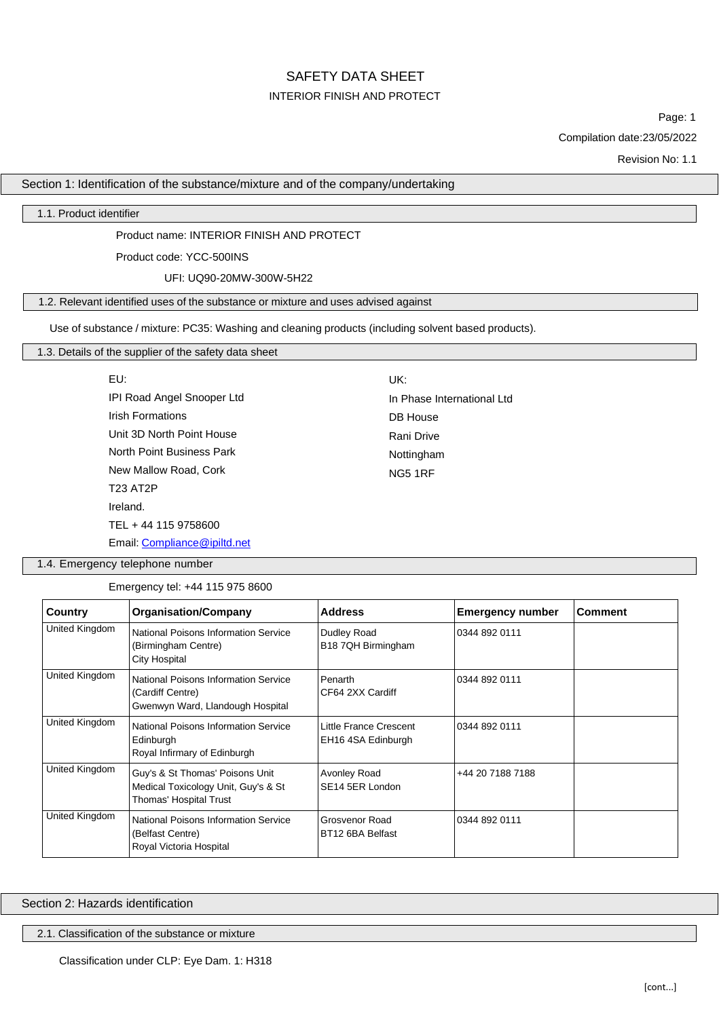# SAFETY DATA SHEET INTERIOR FINISH AND PROTECT

Page: 1

Compilation date:23/05/2022

Revision No: 1.1

# Section 1: Identification of the substance/mixture and of the company/undertaking

1.1. Product identifier

# Product name: INTERIOR FINISH AND PROTECT

Product code: YCC-500INS

### UFI: UQ90-20MW-300W-5H22

## 1.2. Relevant identified uses of the substance or mixture and uses advised against

Use of substance / mixture: PC35: Washing and cleaning products (including solvent based products).

# 1.3. Details of the supplier of the safety data sheet

| EU:                          | UK:                        |
|------------------------------|----------------------------|
| IPI Road Angel Snooper Ltd   | In Phase International Ltd |
| <b>Irish Formations</b>      | DB House                   |
| Unit 3D North Point House    | Rani Drive                 |
| North Point Business Park    | Nottingham                 |
| New Mallow Road, Cork        | NG5 1RF                    |
| <b>T23 AT2P</b>              |                            |
| Ireland.                     |                            |
| TEL + 44 115 9758600         |                            |
| Email: Compliance@ipiltd.net |                            |

1.4. Emergency telephone number

Emergency tel: +44 115 975 8600

| Country        | <b>Organisation/Company</b>                                                                      | <b>Address</b>                                                | <b>Emergency number</b> | <b>Comment</b> |
|----------------|--------------------------------------------------------------------------------------------------|---------------------------------------------------------------|-------------------------|----------------|
| United Kingdom | National Poisons Information Service<br>(Birmingham Centre)<br>City Hospital                     | Dudley Road<br>B18 7QH Birmingham                             | 0344 892 0111           |                |
| United Kingdom | National Poisons Information Service<br>(Cardiff Centre)<br>Gwenwyn Ward, Llandough Hospital     | Penarth<br>CF64 2XX Cardiff                                   | 0344 892 0111           |                |
| United Kingdom | National Poisons Information Service<br>Edinburgh<br>Royal Infirmary of Edinburgh                | Little France Crescent<br>0344 892 0111<br>EH16 4SA Edinburgh |                         |                |
| United Kingdom | Guy's & St Thomas' Poisons Unit<br>Medical Toxicology Unit, Guy's & St<br>Thomas' Hospital Trust | Avonley Road<br>SE14 5ER London                               | +44 20 7188 7188        |                |
| United Kingdom | National Poisons Information Service<br>(Belfast Centre)<br>Royal Victoria Hospital              | Grosvenor Road<br>BT12 6BA Belfast                            | 0344 892 0111           |                |

Section 2: Hazards identification

2.1. Classification of the substance or mixture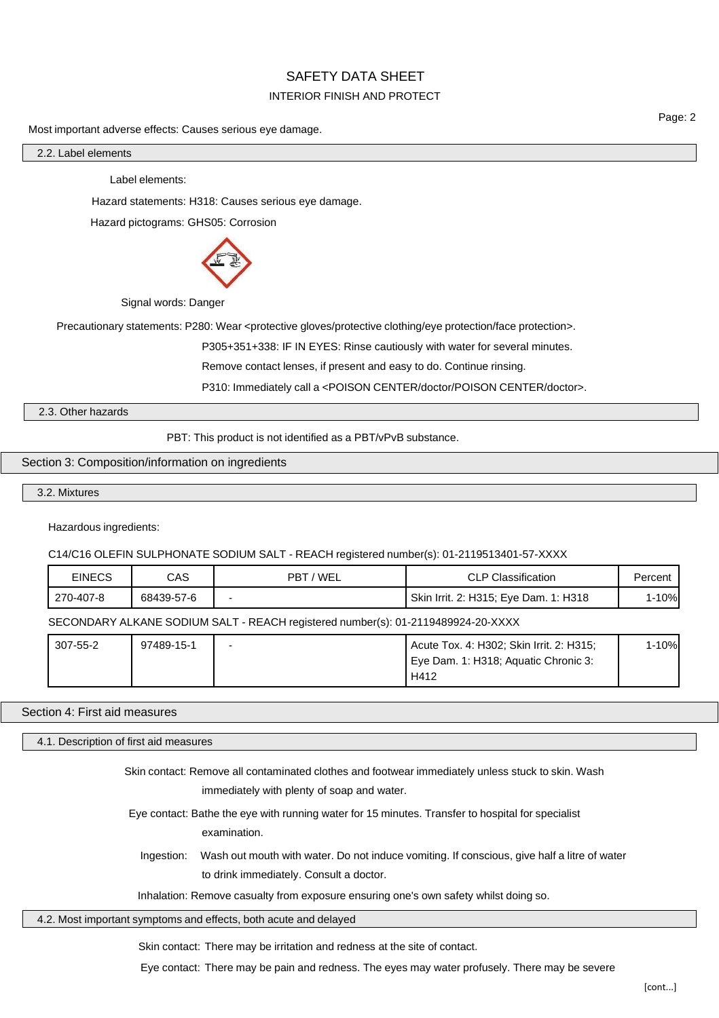# INTERIOR FINISH AND PROTECT

Most important adverse effects: Causes serious eye damage.

Page: 2

2.2. Label elements

Label elements:

Hazard statements: H318: Causes serious eye damage.

Hazard pictograms: GHS05: Corrosion



Signal words: Danger

Precautionary statements: P280: Wear <protective gloves/protective clothing/eye protection/face protection>.

P305+351+338: IF IN EYES: Rinse cautiously with water for several minutes.

Remove contact lenses, if present and easy to do. Continue rinsing.

P310: Immediately call a <POISON CENTER/doctor/POISON CENTER/doctor>.

2.3. Other hazards

PBT: This product is not identified as a PBT/vPvB substance.

# Section 3: Composition/information on ingredients

3.2. Mixtures

Hazardous ingredients:

C14/C16 OLEFIN SULPHONATE SODIUM SALT - REACH registered number(s): 01-2119513401-57-XXXX

| <b>EINECS</b>                                                                    | CAS        | PBT / WEL | CLP Classification                    | Percent |
|----------------------------------------------------------------------------------|------------|-----------|---------------------------------------|---------|
| 270-407-8                                                                        | 68439-57-6 |           | Skin Irrit. 2: H315; Eye Dam. 1: H318 | 1-10%   |
| SECONDARY ALKANE SODIUM SALT - REACH registered number(s): 01-2119489924-20-XXXX |            |           |                                       |         |

| 307-55-2 | 97489-15-1 | Acute Tox. 4: H302; Skin Irrit. 2: H315; | l-10% |
|----------|------------|------------------------------------------|-------|
|          |            | Eye Dam. 1: H318; Aquatic Chronic 3:     |       |
|          |            | H412                                     |       |

## Section 4: First aid measures

4.1. Description of first aid measures

Skin contact: Remove all contaminated clothes and footwear immediately unless stuck to skin. Wash immediately with plenty of soap and water.

Eye contact: Bathe the eye with running water for 15 minutes. Transfer to hospital for specialist examination.

Ingestion: Wash out mouth with water. Do not induce vomiting. If conscious, give half a litre of water to drink immediately. Consult a doctor.

Inhalation: Remove casualty from exposure ensuring one's own safety whilst doing so.

4.2. Most important symptoms and effects, both acute and delayed

Skin contact: There may be irritation and redness at the site of contact.

Eye contact: There may be pain and redness. The eyes may water profusely. There may be severe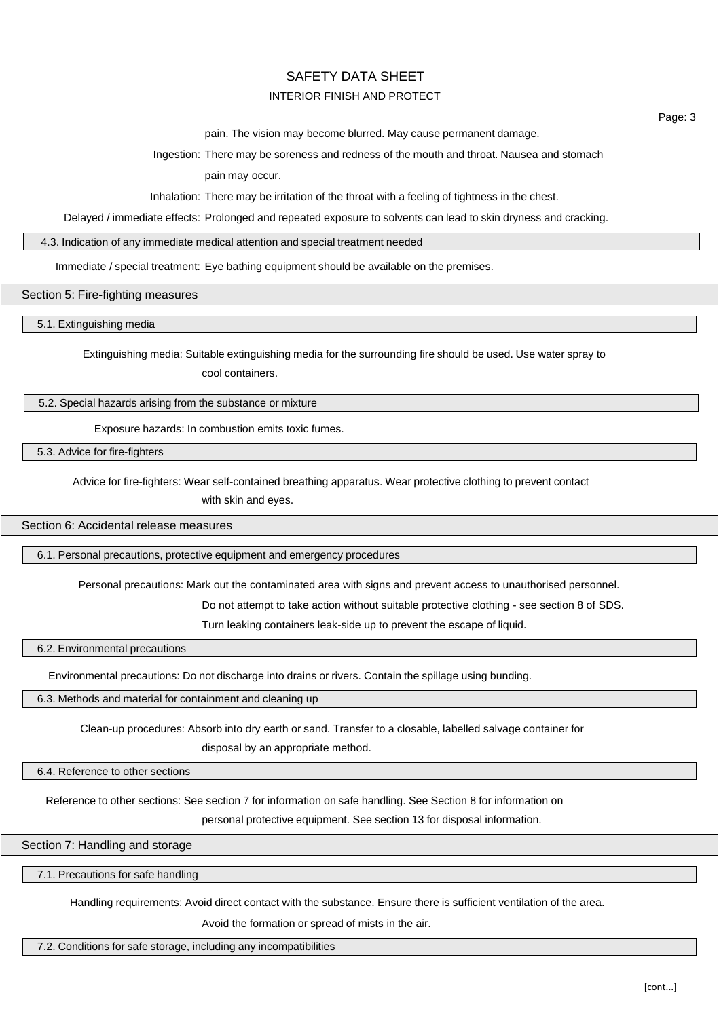## INTERIOR FINISH AND PROTECT

pain. The vision may become blurred. May cause permanent damage.

Ingestion: There may be soreness and redness of the mouth and throat. Nausea and stomach

pain may occur.

Inhalation: There may be irritation of the throat with a feeling of tightness in the chest.

Delayed / immediate effects: Prolonged and repeated exposure to solvents can lead to skin dryness and cracking.

4.3. Indication of any immediate medical attention and special treatment needed

Immediate / special treatment: Eye bathing equipment should be available on the premises.

Section 5: Fire-fighting measures

5.1. Extinguishing media

Extinguishing media: Suitable extinguishing media for the surrounding fire should be used. Use water spray to cool containers.

#### 5.2. Special hazards arising from the substance or mixture

Exposure hazards: In combustion emits toxic fumes.

5.3. Advice for fire-fighters

Advice for fire-fighters: Wear self-contained breathing apparatus. Wear protective clothing to prevent contact

with skin and eyes.

Section 6: Accidental release measures

6.1. Personal precautions, protective equipment and emergency procedures

Personal precautions: Mark out the contaminated area with signs and prevent access to unauthorised personnel.

Do not attempt to take action without suitable protective clothing - see section 8 of SDS.

Turn leaking containers leak-side up to prevent the escape of liquid.

6.2. Environmental precautions

Environmental precautions: Do not discharge into drains or rivers. Contain the spillage using bunding.

6.3. Methods and material for containment and cleaning up

Clean-up procedures: Absorb into dry earth or sand. Transfer to a closable, labelled salvage container for

disposal by an appropriate method.

6.4. Reference to other sections

Reference to other sections: See section 7 for information on safe handling. See Section 8 for information on

personal protective equipment. See section 13 for disposal information.

Section 7: Handling and storage

7.1. Precautions for safe handling

Handling requirements: Avoid direct contact with the substance. Ensure there is sufficient ventilation of the area.

Avoid the formation or spread of mists in the air.

7.2. Conditions for safe storage, including any incompatibilities

Page: 3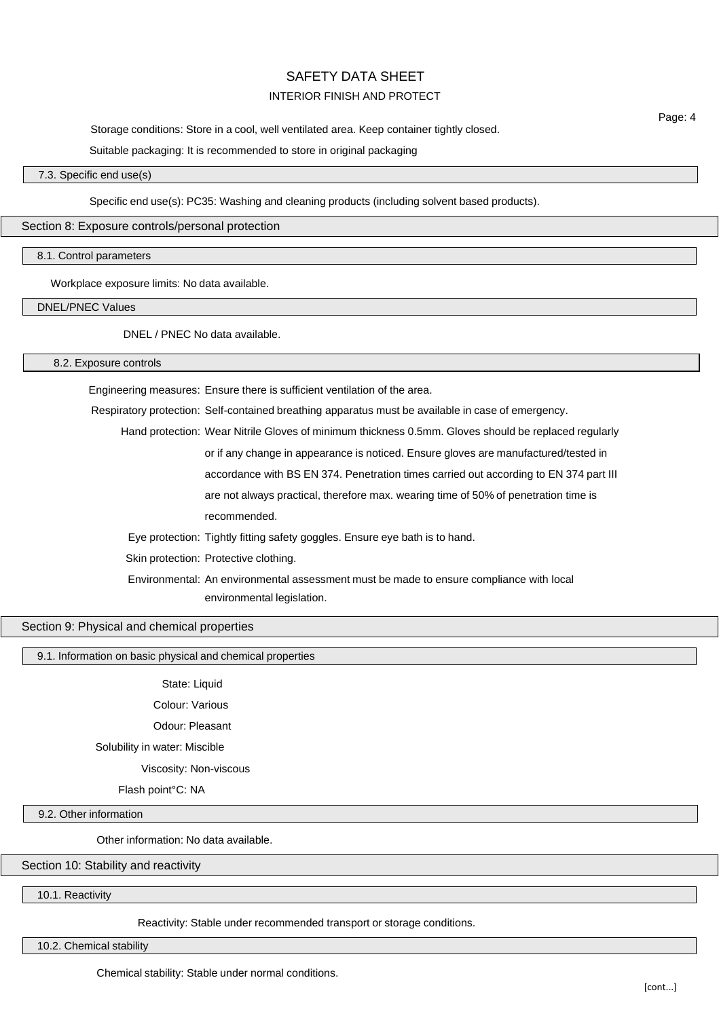## INTERIOR FINISH AND PROTECT

Storage conditions: Store in a cool, well ventilated area. Keep container tightly closed.

Suitable packaging: It is recommended to store in original packaging

## 7.3. Specific end use(s)

Specific end use(s): PC35: Washing and cleaning products (including solvent based products).

#### Section 8: Exposure controls/personal protection

8.1. Control parameters

Workplace exposure limits: No data available.

DNEL/PNEC Values

DNEL / PNEC No data available.

8.2. Exposure controls

Engineering measures: Ensure there is sufficient ventilation of the area.

Respiratory protection: Self-contained breathing apparatus must be available in case of emergency.

Hand protection: Wear Nitrile Gloves of minimum thickness 0.5mm. Gloves should be replaced regularly or if any change in appearance is noticed. Ensure gloves are manufactured/tested in accordance with BS EN 374. Penetration times carried out according to EN 374 part III are not always practical, therefore max. wearing time of 50% of penetration time is

recommended.

Eye protection: Tightly fitting safety goggles. Ensure eye bath is to hand.

Skin protection: Protective clothing.

Environmental: An environmental assessment must be made to ensure compliance with local environmental legislation.

## Section 9: Physical and chemical properties

9.1. Information on basic physical and chemical properties

State: Liquid

Colour: Various

Odour: Pleasant

Solubility in water: Miscible

Viscosity: Non-viscous

Flash point°C: NA

9.2. Other information

Other information: No data available.

Section 10: Stability and reactivity

10.1. Reactivity

Reactivity: Stable under recommended transport or storage conditions.

10.2. Chemical stability

Page: 4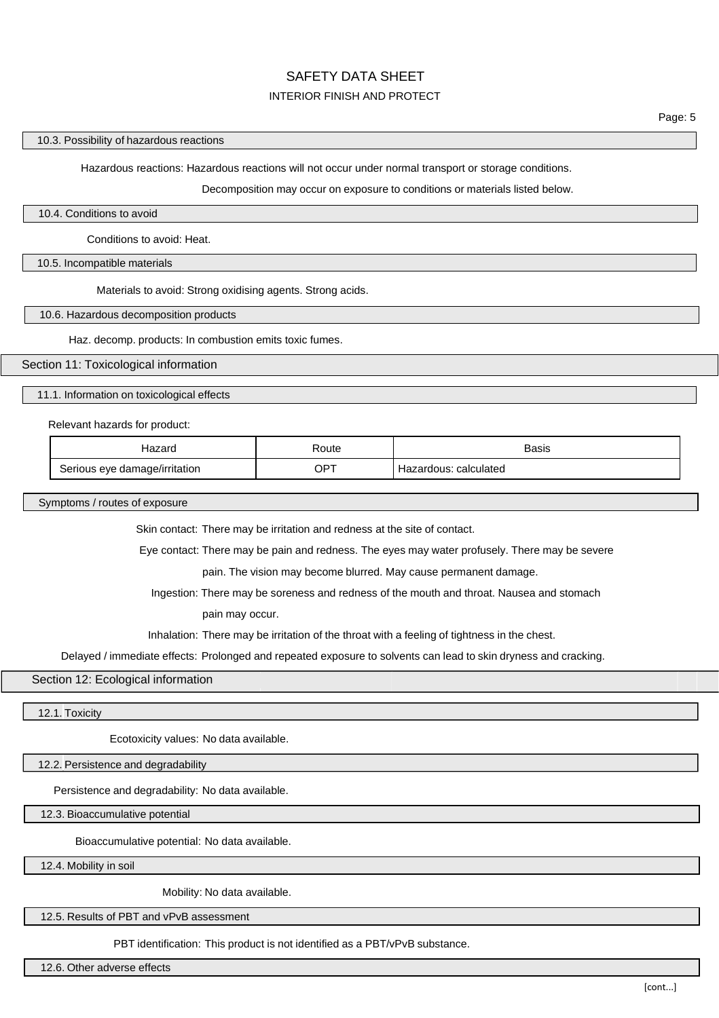# INTERIOR FINISH AND PROTECT

Hazardous reactions: Hazardous reactions will not occur under normal transport or storage conditions.

Decomposition may occur on exposure to conditions or materials listed below.

#### 10.4. Conditions to avoid

Conditions to avoid: Heat.

10.5. Incompatible materials

Materials to avoid: Strong oxidising agents. Strong acids.

10.6. Hazardous decomposition products

Haz. decomp. products: In combustion emits toxic fumes.

#### Section 11: Toxicological information

11.1. Information on toxicological effects

Relevant hazards for product:

| Hazard                        | Route       | Basis                 |
|-------------------------------|-------------|-----------------------|
| Serious eye damage/irritation | $OP^{\tau}$ | Hazardous: calculated |

Symptoms / routes of exposure

Skin contact: There may be irritation and redness at the site of contact.

Eye contact: There may be pain and redness. The eyes may water profusely. There may be severe

pain. The vision may become blurred. May cause permanent damage.

Ingestion: There may be soreness and redness of the mouth and throat. Nausea and stomach

pain may occur.

Inhalation: There may be irritation of the throat with a feeling of tightness in the chest.

Delayed / immediate effects: Prolonged and repeated exposure to solvents can lead to skin dryness and cracking.

Section 12: Ecological information

12.1. Toxicity

Ecotoxicity values: No data available.

12.2. Persistence and degradability

Persistence and degradability: No data available.

12.3. Bioaccumulative potential

Bioaccumulative potential: No data available.

12.4. Mobility in soil

Mobility: No data available.

12.5. Results of PBT and vPvB assessment

PBT identification: This product is not identified as a PBT/vPvB substance.

12.6. Other adverse effects